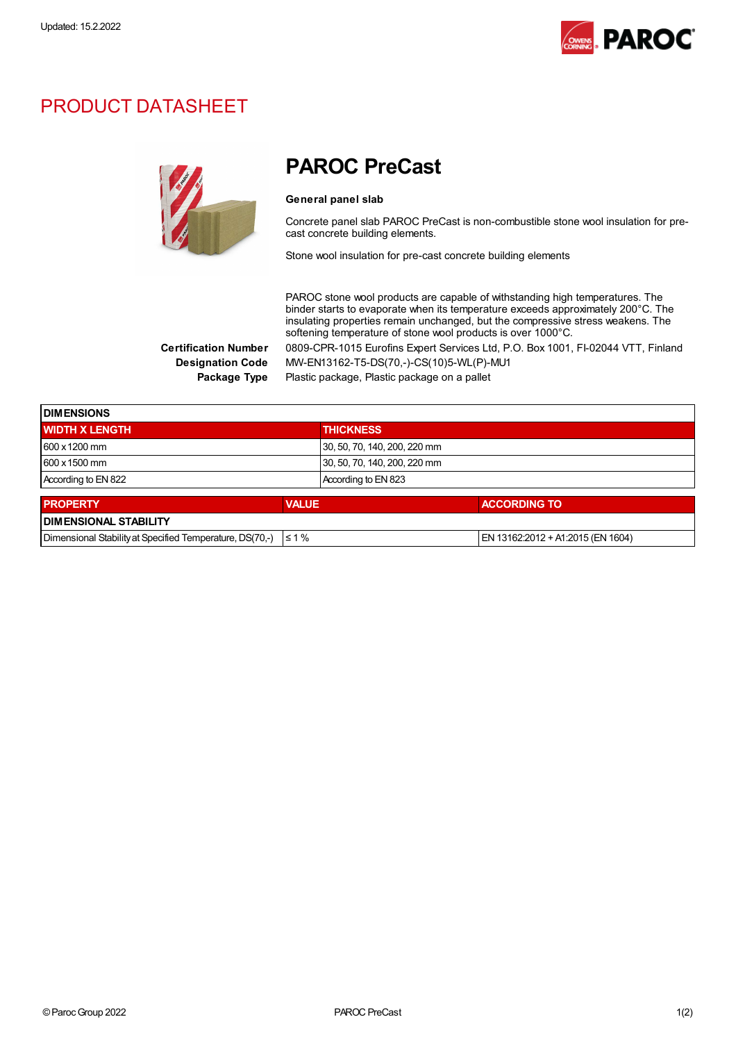

## PRODUCT DATASHEET



## PAROC PreCast

## General panel slab

Concrete panel slab PAROC PreCast is non-combustible stone wool insulation for precast concrete building elements.

Stone wool insulation for pre-cast concrete building elements

PAROC stone wool products are capable of withstanding high temperatures. The binder starts to evaporate when its temperature exceeds approximately 200°C. The insulating properties remain unchanged, but the compressive stress weakens. The softening temperature of stone wool products is over 1000°C. Certification Number 0809-CPR-1015 Eurofins Expert Services Ltd, P.O. Box 1001, FI-02044 VTT, Finland Designation Code MW-EN13162-T5-DS(70,-)-CS(10)5-WL(P)-MU1

Package Type Plastic package, Plastic package on a pallet

| <b>DIMENSIONS</b>                                        |              |                              |                                   |  |  |
|----------------------------------------------------------|--------------|------------------------------|-----------------------------------|--|--|
| <b>WIDTH X LENGTH</b>                                    |              | <b>THICKNESS</b>             |                                   |  |  |
| $600 \times 1200$ mm                                     |              | 30, 50, 70, 140, 200, 220 mm |                                   |  |  |
| 600 x 1500 mm                                            |              | 30, 50, 70, 140, 200, 220 mm |                                   |  |  |
| According to EN 822                                      |              | According to EN 823          |                                   |  |  |
| <b>PROPERTY</b>                                          | <b>VALUE</b> |                              | <b>ACCORDING TO</b>               |  |  |
| <b>DIMENSIONAL STABILITY</b>                             |              |                              |                                   |  |  |
| Dimensional Stability at Specified Temperature, DS(70,-) | $\leq 1\%$   |                              | EN 13162:2012 + A1:2015 (EN 1604) |  |  |